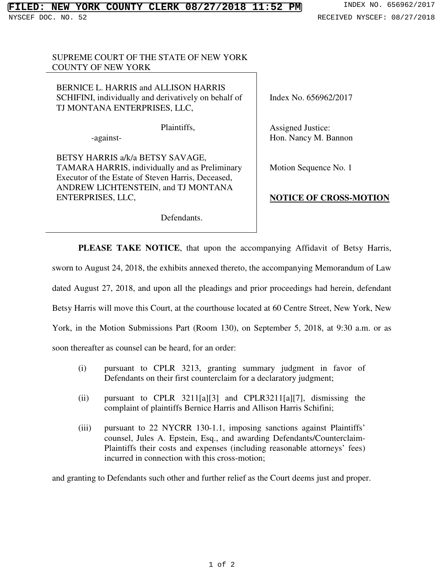## SUPREME COURT OF THE STATE OF NEW YORK COUNTY OF NEW YORK

BERNICE L. HARRIS and ALLISON HARRIS SCHIFINI, individually and derivatively on behalf of TJ MONTANA ENTERPRISES, LLC,

Plaintiffs,

-against-

BETSY HARRIS a/k/a BETSY SAVAGE, TAMARA HARRIS, individually and as Preliminary Executor of the Estate of Steven Harris, Deceased, ANDREW LICHTENSTEIN, and TJ MONTANA ENTERPRISES, LLC,

Index No. 656962/2017

Assigned Justice: Hon. Nancy M. Bannon

Motion Sequence No. 1

## **NOTICE OF CROSS-MOTION**

Defendants.

**PLEASE TAKE NOTICE**, that upon the accompanying Affidavit of Betsy Harris, sworn to August 24, 2018, the exhibits annexed thereto, the accompanying Memorandum of Law dated August 27, 2018, and upon all the pleadings and prior proceedings had herein, defendant Betsy Harris will move this Court, at the courthouse located at 60 Centre Street, New York, New York, in the Motion Submissions Part (Room 130), on September 5, 2018, at 9:30 a.m. or as soon thereafter as counsel can be heard, for an order:

- (i) pursuant to CPLR 3213, granting summary judgment in favor of Defendants on their first counterclaim for a declaratory judgment;
- (ii) pursuant to CPLR 3211[a][3] and CPLR3211[a][7], dismissing the complaint of plaintiffs Bernice Harris and Allison Harris Schifini;
- (iii) pursuant to 22 NYCRR 130-1.1, imposing sanctions against Plaintiffs' counsel, Jules A. Epstein, Esq., and awarding Defendants/Counterclaim-Plaintiffs their costs and expenses (including reasonable attorneys' fees) incurred in connection with this cross-motion;

and granting to Defendants such other and further relief as the Court deems just and proper.